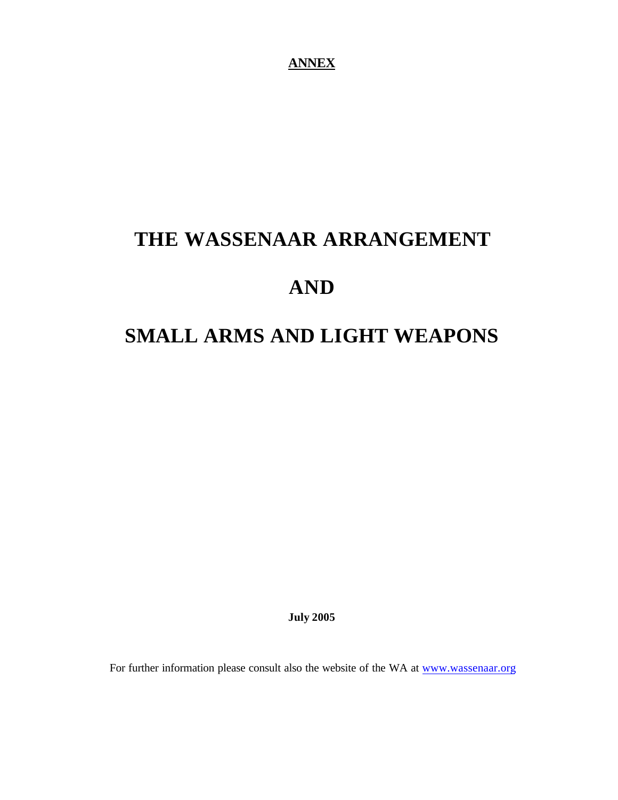**ANNEX**

# **THE WASSENAAR ARRANGEMENT**

# **AND**

# **SMALL ARMS AND LIGHT WEAPONS**

**July 2005**

For further information please consult also the website of the WA at www.wassenaar.org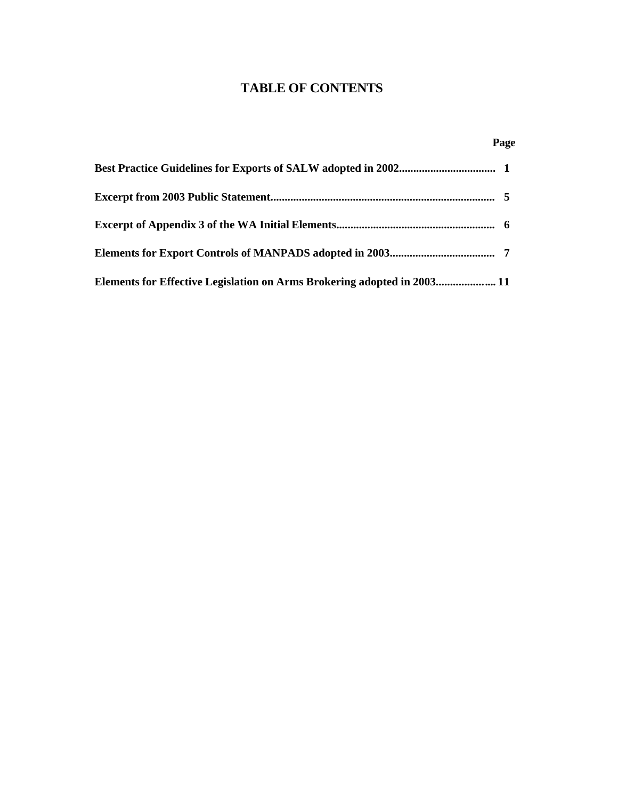# **TABLE OF CONTENTS**

# **Page**

| Elements for Effective Legislation on Arms Brokering adopted in 2003 11 |  |
|-------------------------------------------------------------------------|--|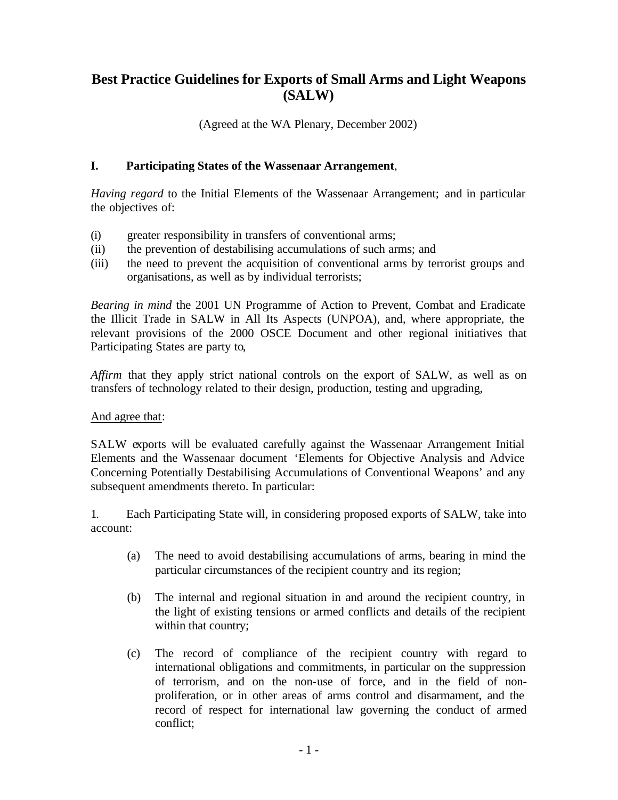# **Best Practice Guidelines for Exports of Small Arms and Light Weapons (SALW)**

(Agreed at the WA Plenary, December 2002)

## **I. Participating States of the Wassenaar Arrangement**,

*Having regard* to the Initial Elements of the Wassenaar Arrangement; and in particular the objectives of:

- (i) greater responsibility in transfers of conventional arms;
- (ii) the prevention of destabilising accumulations of such arms; and
- (iii) the need to prevent the acquisition of conventional arms by terrorist groups and organisations, as well as by individual terrorists;

*Bearing in mind* the 2001 UN Programme of Action to Prevent, Combat and Eradicate the Illicit Trade in SALW in All Its Aspects (UNPOA), and, where appropriate, the relevant provisions of the 2000 OSCE Document and other regional initiatives that Participating States are party to,

*Affirm* that they apply strict national controls on the export of SALW, as well as on transfers of technology related to their design, production, testing and upgrading,

### And agree that:

SALW exports will be evaluated carefully against the Wassenaar Arrangement Initial Elements and the Wassenaar document 'Elements for Objective Analysis and Advice Concerning Potentially Destabilising Accumulations of Conventional Weapons' and any subsequent amendments thereto. In particular:

1. Each Participating State will, in considering proposed exports of SALW, take into account:

- (a) The need to avoid destabilising accumulations of arms, bearing in mind the particular circumstances of the recipient country and its region;
- (b) The internal and regional situation in and around the recipient country, in the light of existing tensions or armed conflicts and details of the recipient within that country;
- (c) The record of compliance of the recipient country with regard to international obligations and commitments, in particular on the suppression of terrorism, and on the non-use of force, and in the field of nonproliferation, or in other areas of arms control and disarmament, and the record of respect for international law governing the conduct of armed conflict;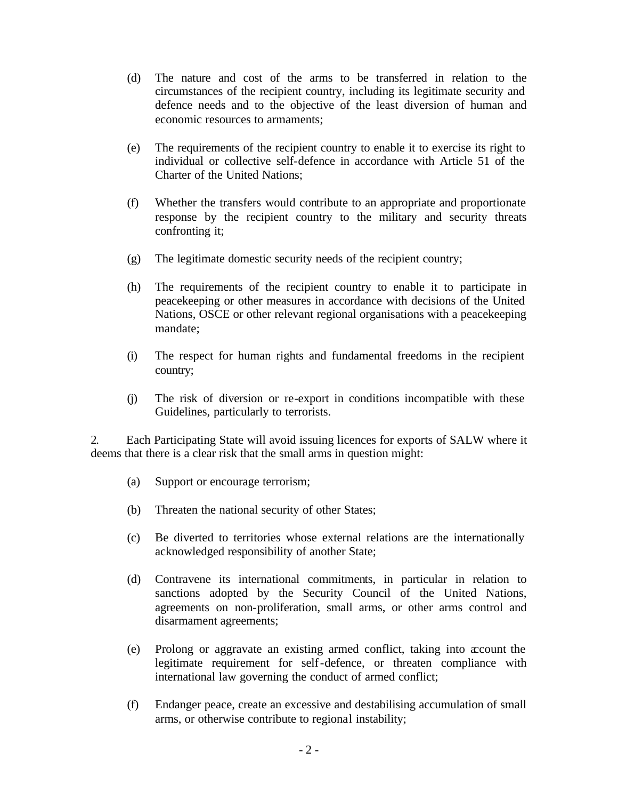- (d) The nature and cost of the arms to be transferred in relation to the circumstances of the recipient country, including its legitimate security and defence needs and to the objective of the least diversion of human and economic resources to armaments;
- (e) The requirements of the recipient country to enable it to exercise its right to individual or collective self-defence in accordance with Article 51 of the Charter of the United Nations;
- (f) Whether the transfers would contribute to an appropriate and proportionate response by the recipient country to the military and security threats confronting it;
- (g) The legitimate domestic security needs of the recipient country;
- (h) The requirements of the recipient country to enable it to participate in peacekeeping or other measures in accordance with decisions of the United Nations, OSCE or other relevant regional organisations with a peacekeeping mandate;
- (i) The respect for human rights and fundamental freedoms in the recipient country;
- (j) The risk of diversion or re-export in conditions incompatible with these Guidelines, particularly to terrorists.

2. Each Participating State will avoid issuing licences for exports of SALW where it deems that there is a clear risk that the small arms in question might:

- (a) Support or encourage terrorism;
- (b) Threaten the national security of other States;
- (c) Be diverted to territories whose external relations are the internationally acknowledged responsibility of another State;
- (d) Contravene its international commitments, in particular in relation to sanctions adopted by the Security Council of the United Nations, agreements on non-proliferation, small arms, or other arms control and disarmament agreements;
- (e) Prolong or aggravate an existing armed conflict, taking into account the legitimate requirement for self-defence, or threaten compliance with international law governing the conduct of armed conflict;
- (f) Endanger peace, create an excessive and destabilising accumulation of small arms, or otherwise contribute to regional instability;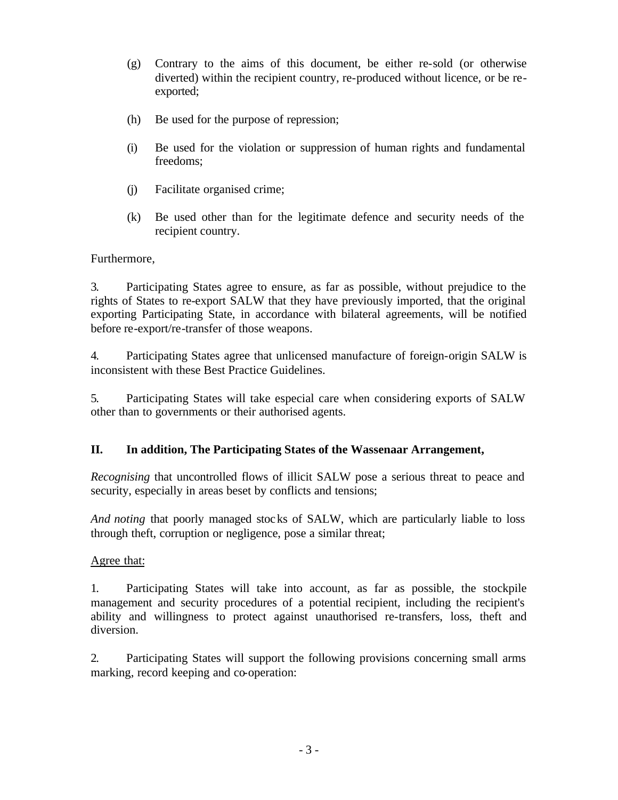- (g) Contrary to the aims of this document, be either re-sold (or otherwise diverted) within the recipient country, re-produced without licence, or be reexported;
- (h) Be used for the purpose of repression;
- (i) Be used for the violation or suppression of human rights and fundamental freedoms;
- (j) Facilitate organised crime;
- (k) Be used other than for the legitimate defence and security needs of the recipient country.

Furthermore,

3. Participating States agree to ensure, as far as possible, without prejudice to the rights of States to re-export SALW that they have previously imported, that the original exporting Participating State, in accordance with bilateral agreements, will be notified before re-export/re-transfer of those weapons.

4. Participating States agree that unlicensed manufacture of foreign-origin SALW is inconsistent with these Best Practice Guidelines.

5. Participating States will take especial care when considering exports of SALW other than to governments or their authorised agents.

# **II. In addition, The Participating States of the Wassenaar Arrangement,**

*Recognising* that uncontrolled flows of illicit SALW pose a serious threat to peace and security, especially in areas beset by conflicts and tensions;

*And noting* that poorly managed stocks of SALW, which are particularly liable to loss through theft, corruption or negligence, pose a similar threat;

### Agree that:

1. Participating States will take into account, as far as possible, the stockpile management and security procedures of a potential recipient, including the recipient's ability and willingness to protect against unauthorised re-transfers, loss, theft and diversion.

2. Participating States will support the following provisions concerning small arms marking, record keeping and co-operation: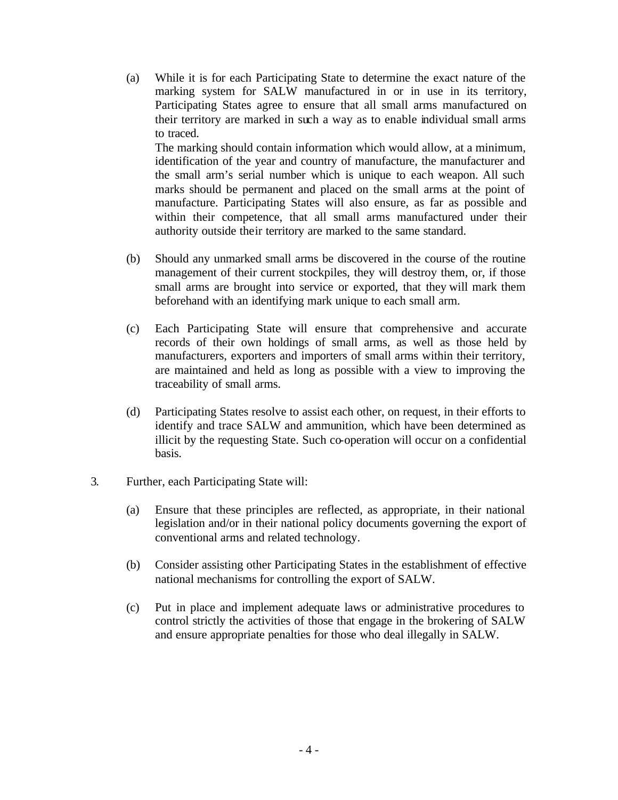(a) While it is for each Participating State to determine the exact nature of the marking system for SALW manufactured in or in use in its territory, Participating States agree to ensure that all small arms manufactured on their territory are marked in such a way as to enable individual small arms to traced.

The marking should contain information which would allow, at a minimum, identification of the year and country of manufacture, the manufacturer and the small arm's serial number which is unique to each weapon. All such marks should be permanent and placed on the small arms at the point of manufacture. Participating States will also ensure, as far as possible and within their competence, that all small arms manufactured under their authority outside their territory are marked to the same standard.

- (b) Should any unmarked small arms be discovered in the course of the routine management of their current stockpiles, they will destroy them, or, if those small arms are brought into service or exported, that they will mark them beforehand with an identifying mark unique to each small arm.
- (c) Each Participating State will ensure that comprehensive and accurate records of their own holdings of small arms, as well as those held by manufacturers, exporters and importers of small arms within their territory, are maintained and held as long as possible with a view to improving the traceability of small arms.
- (d) Participating States resolve to assist each other, on request, in their efforts to identify and trace SALW and ammunition, which have been determined as illicit by the requesting State. Such co-operation will occur on a confidential basis.
- 3. Further, each Participating State will:
	- (a) Ensure that these principles are reflected, as appropriate, in their national legislation and/or in their national policy documents governing the export of conventional arms and related technology.
	- (b) Consider assisting other Participating States in the establishment of effective national mechanisms for controlling the export of SALW.
	- (c) Put in place and implement adequate laws or administrative procedures to control strictly the activities of those that engage in the brokering of SALW and ensure appropriate penalties for those who deal illegally in SALW.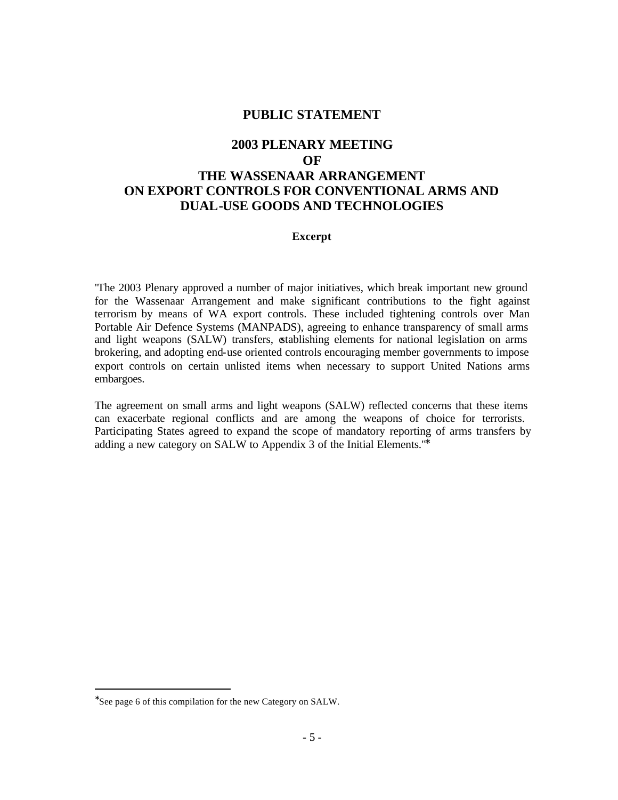#### **PUBLIC STATEMENT**

# **2003 PLENARY MEETING OF THE WASSENAAR ARRANGEMENT ON EXPORT CONTROLS FOR CONVENTIONAL ARMS AND DUAL-USE GOODS AND TECHNOLOGIES**

#### **Excerpt**

"The 2003 Plenary approved a number of major initiatives, which break important new ground for the Wassenaar Arrangement and make significant contributions to the fight against terrorism by means of WA export controls. These included tightening controls over Man Portable Air Defence Systems (MANPADS), agreeing to enhance transparency of small arms and light weapons (SALW) transfers, establishing elements for national legislation on arms brokering, and adopting end-use oriented controls encouraging member governments to impose export controls on certain unlisted items when necessary to support United Nations arms embargoes.

The agreement on small arms and light weapons (SALW) reflected concerns that these items can exacerbate regional conflicts and are among the weapons of choice for terrorists. Participating States agreed to expand the scope of mandatory reporting of arms transfers by adding a new category on SALW to Appendix 3 of the Initial Elements."<sup>∗</sup>

 $\overline{\phantom{a}}$ 

<sup>∗</sup> See page 6 of this compilation for the new Category on SALW.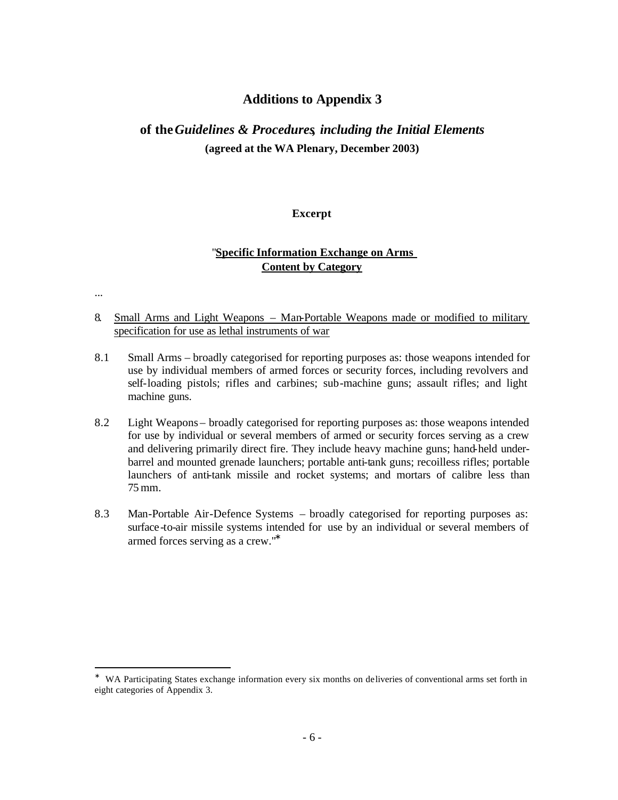### **Additions to Appendix 3**

# **of the** *Guidelines & Procedures, including the Initial Elements* **(agreed at the WA Plenary, December 2003)**

#### **Excerpt**

#### "**Specific Information Exchange on Arms Content by Category**

...

 $\overline{\phantom{a}}$ 

- 8. Small Arms and Light Weapons Man-Portable Weapons made or modified to military specification for use as lethal instruments of war
- 8.1 Small Arms broadly categorised for reporting purposes as: those weapons intended for use by individual members of armed forces or security forces, including revolvers and self-loading pistols; rifles and carbines; sub-machine guns; assault rifles; and light machine guns.
- 8.2 Light Weapons broadly categorised for reporting purposes as: those weapons intended for use by individual or several members of armed or security forces serving as a crew and delivering primarily direct fire. They include heavy machine guns; hand-held underbarrel and mounted grenade launchers; portable anti-tank guns; recoilless rifles; portable launchers of anti-tank missile and rocket systems; and mortars of calibre less than 75 mm.
- 8.3 Man-Portable Air-Defence Systems broadly categorised for reporting purposes as: surface -to-air missile systems intended for use by an individual or several members of armed forces serving as a crew."<sup>∗</sup>

<sup>∗</sup> WA Participating States exchange information every six months on deliveries of conventional arms set forth in eight categories of Appendix 3.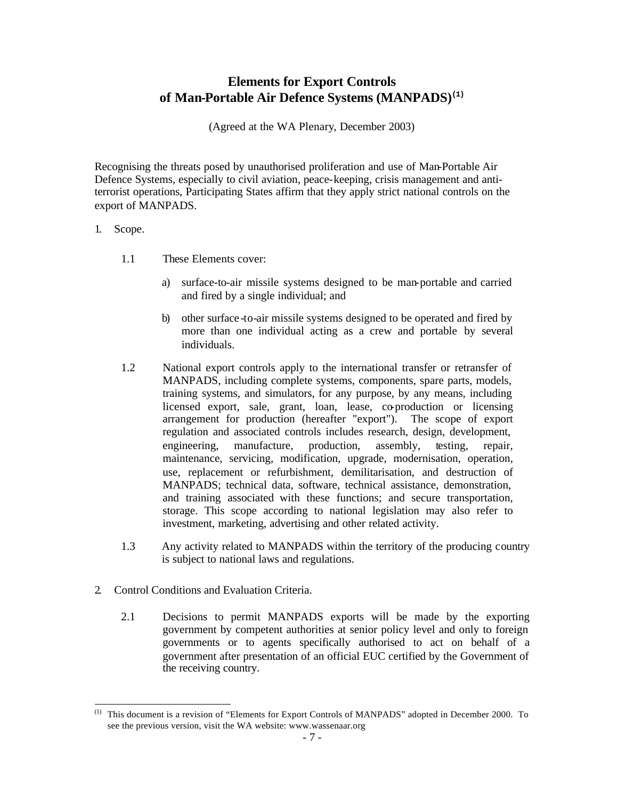# **Elements for Export Controls of Man-Portable Air Defence Systems (MANPADS)(1)**

(Agreed at the WA Plenary, December 2003)

Recognising the threats posed by unauthorised proliferation and use of Man-Portable Air Defence Systems, especially to civil aviation, peace-keeping, crisis management and antiterrorist operations, Participating States affirm that they apply strict national controls on the export of MANPADS.

#### 1. Scope.

 $\overline{a}$ 

- 1.1 These Elements cover:
	- a) surface-to-air missile systems designed to be man-portable and carried and fired by a single individual; and
	- b) other surface -to-air missile systems designed to be operated and fired by more than one individual acting as a crew and portable by several individuals.
- 1.2 National export controls apply to the international transfer or retransfer of MANPADS, including complete systems, components, spare parts, models, training systems, and simulators, for any purpose, by any means, including licensed export, sale, grant, loan, lease, co-production or licensing arrangement for production (hereafter "export"). The scope of export regulation and associated controls includes research, design, development, engineering, manufacture, production, assembly, testing, repair, maintenance, servicing, modification, upgrade, modernisation, operation, use, replacement or refurbishment, demilitarisation, and destruction of MANPADS; technical data, software, technical assistance, demonstration, and training associated with these functions; and secure transportation, storage. This scope according to national legislation may also refer to investment, marketing, advertising and other related activity.
- 1.3 Any activity related to MANPADS within the territory of the producing country is subject to national laws and regulations.
- 2. Control Conditions and Evaluation Criteria.
	- 2.1 Decisions to permit MANPADS exports will be made by the exporting government by competent authorities at senior policy level and only to foreign governments or to agents specifically authorised to act on behalf of a government after presentation of an official EUC certified by the Government of the receiving country.

<sup>(1)</sup> This document is a revision of "Elements for Export Controls of MANPADS" adopted in December 2000. To see the previous version, visit the WA website: www.wassenaar.org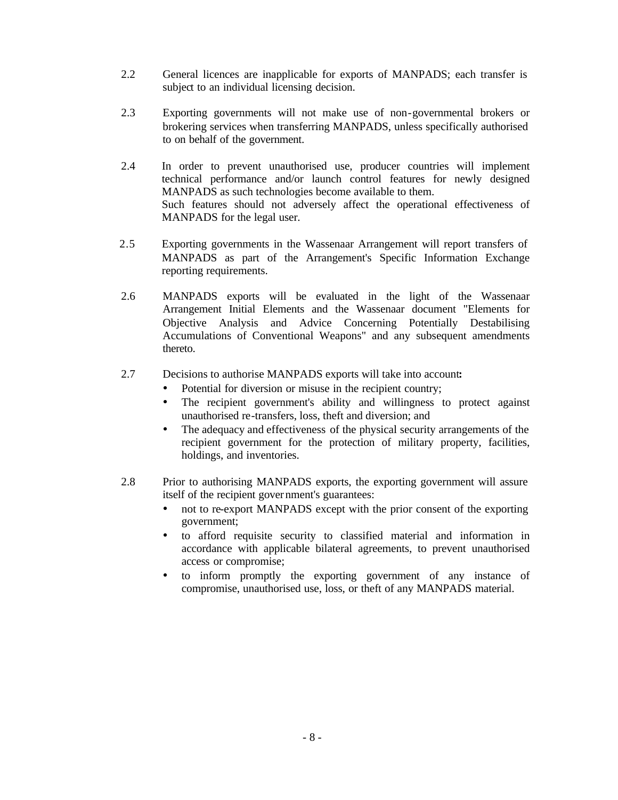- 2.2 General licences are inapplicable for exports of MANPADS; each transfer is subject to an individual licensing decision.
- 2.3 Exporting governments will not make use of non-governmental brokers or brokering services when transferring MANPADS, unless specifically authorised to on behalf of the government.
- 2.4 In order to prevent unauthorised use, producer countries will implement technical performance and/or launch control features for newly designed MANPADS as such technologies become available to them. Such features should not adversely affect the operational effectiveness of MANPADS for the legal user.
- 2.5 Exporting governments in the Wassenaar Arrangement will report transfers of MANPADS as part of the Arrangement's Specific Information Exchange reporting requirements.
- 2.6 MANPADS exports will be evaluated in the light of the Wassenaar Arrangement Initial Elements and the Wassenaar document "Elements for Objective Analysis and Advice Concerning Potentially Destabilising Accumulations of Conventional Weapons" and any subsequent amendments thereto.
- 2.7 Decisions to authorise MANPADS exports will take into account**:**
	- Potential for diversion or misuse in the recipient country;
	- The recipient government's ability and willingness to protect against unauthorised re-transfers, loss, theft and diversion; and
	- The adequacy and effectiveness of the physical security arrangements of the recipient government for the protection of military property, facilities, holdings, and inventories.
- 2.8 Prior to authorising MANPADS exports, the exporting government will assure itself of the recipient government's guarantees:
	- not to re-export MANPADS except with the prior consent of the exporting government;
	- to afford requisite security to classified material and information in accordance with applicable bilateral agreements, to prevent unauthorised access or compromise;
	- to inform promptly the exporting government of any instance of compromise, unauthorised use, loss, or theft of any MANPADS material.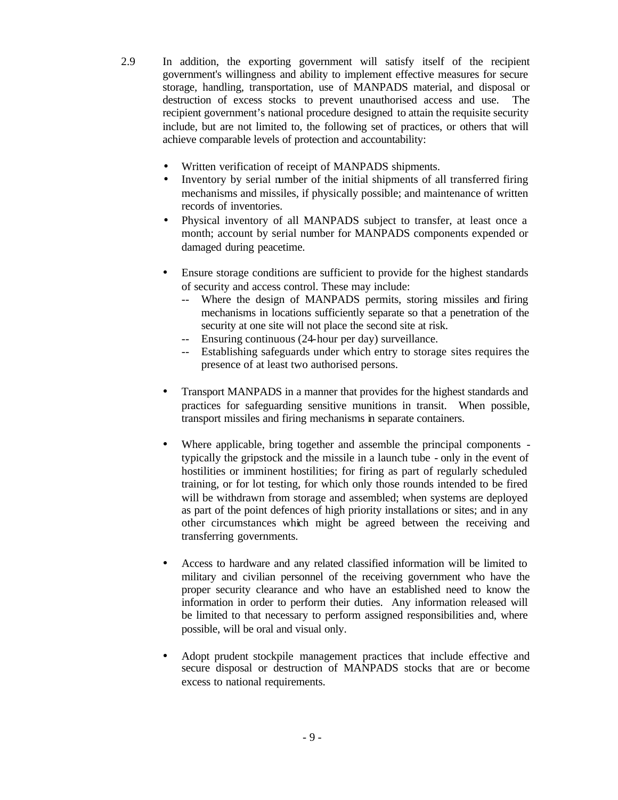2.9 In addition, the exporting government will satisfy itself of the recipient government's willingness and ability to implement effective measures for secure storage, handling, transportation, use of MANPADS material, and disposal or destruction of excess stocks to prevent unauthorised access and use. The recipient government's national procedure designed to attain the requisite security include, but are not limited to, the following set of practices, or others that will achieve comparable levels of protection and accountability:

- Written verification of receipt of MANPADS shipments.
- Inventory by serial number of the initial shipments of all transferred firing mechanisms and missiles, if physically possible; and maintenance of written records of inventories.
- Physical inventory of all MANPADS subject to transfer, at least once a month; account by serial number for MANPADS components expended or damaged during peacetime.
- Ensure storage conditions are sufficient to provide for the highest standards of security and access control. These may include:
	- -- Where the design of MANPADS permits, storing missiles and firing mechanisms in locations sufficiently separate so that a penetration of the security at one site will not place the second site at risk.
	- -- Ensuring continuous (24-hour per day) surveillance.
	- -- Establishing safeguards under which entry to storage sites requires the presence of at least two authorised persons.
- Transport MANPADS in a manner that provides for the highest standards and practices for safeguarding sensitive munitions in transit. When possible, transport missiles and firing mechanisms in separate containers.
- Where applicable, bring together and assemble the principal components typically the gripstock and the missile in a launch tube - only in the event of hostilities or imminent hostilities; for firing as part of regularly scheduled training, or for lot testing, for which only those rounds intended to be fired will be withdrawn from storage and assembled; when systems are deployed as part of the point defences of high priority installations or sites; and in any other circumstances which might be agreed between the receiving and transferring governments.
- Access to hardware and any related classified information will be limited to military and civilian personnel of the receiving government who have the proper security clearance and who have an established need to know the information in order to perform their duties. Any information released will be limited to that necessary to perform assigned responsibilities and, where possible, will be oral and visual only.
- Adopt prudent stockpile management practices that include effective and secure disposal or destruction of MANPADS stocks that are or become excess to national requirements.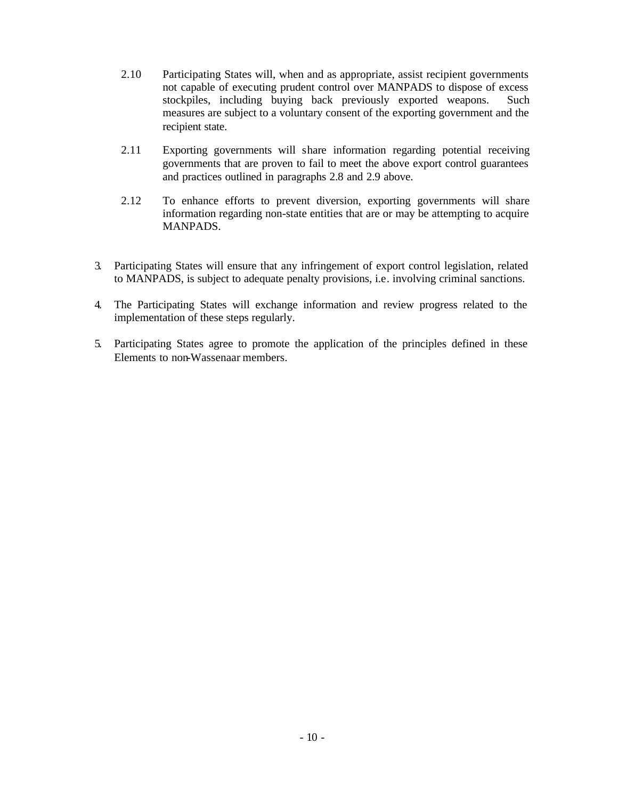- 2.10 Participating States will, when and as appropriate, assist recipient governments not capable of executing prudent control over MANPADS to dispose of excess stockpiles, including buying back previously exported weapons. Such measures are subject to a voluntary consent of the exporting government and the recipient state.
- 2.11 Exporting governments will share information regarding potential receiving governments that are proven to fail to meet the above export control guarantees and practices outlined in paragraphs 2.8 and 2.9 above.
- 2.12 To enhance efforts to prevent diversion, exporting governments will share information regarding non-state entities that are or may be attempting to acquire MANPADS.
- 3*.* Participating States will ensure that any infringement of export control legislation, related to MANPADS, is subject to adequate penalty provisions, i.e. involving criminal sanctions.
- 4. The Participating States will exchange information and review progress related to the implementation of these steps regularly.
- 5. Participating States agree to promote the application of the principles defined in these Elements to non-Wassenaar members.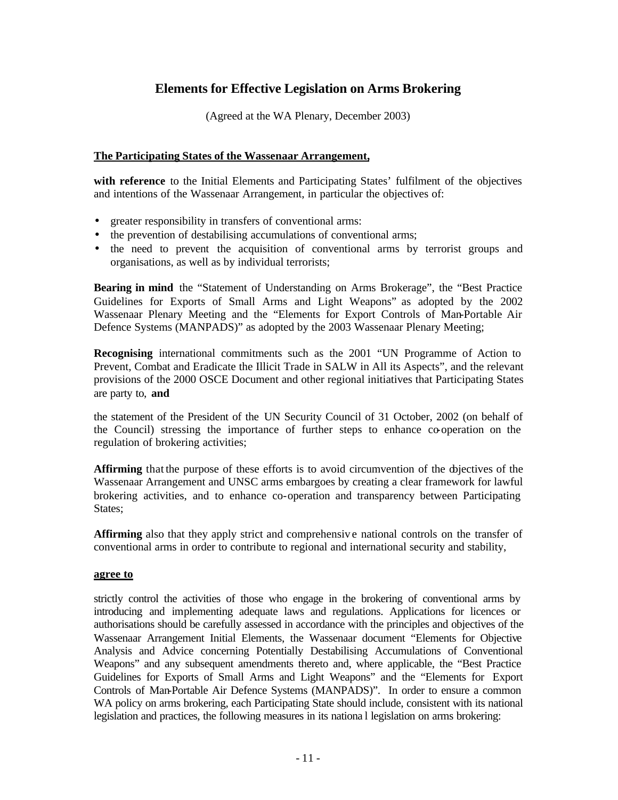## **Elements for Effective Legislation on Arms Brokering**

(Agreed at the WA Plenary, December 2003)

#### **The Participating States of the Wassenaar Arrangement,**

**with reference** to the Initial Elements and Participating States' fulfilment of the objectives and intentions of the Wassenaar Arrangement, in particular the objectives of:

- greater responsibility in transfers of conventional arms:
- the prevention of destabilising accumulations of conventional arms;
- the need to prevent the acquisition of conventional arms by terrorist groups and organisations, as well as by individual terrorists;

**Bearing in mind** the "Statement of Understanding on Arms Brokerage", the "Best Practice Guidelines for Exports of Small Arms and Light Weapons" as adopted by the 2002 Wassenaar Plenary Meeting and the "Elements for Export Controls of Man-Portable Air Defence Systems (MANPADS)" as adopted by the 2003 Wassenaar Plenary Meeting;

**Recognising** international commitments such as the 2001 "UN Programme of Action to Prevent, Combat and Eradicate the Illicit Trade in SALW in All its Aspects", and the relevant provisions of the 2000 OSCE Document and other regional initiatives that Participating States are party to, **and**

the statement of the President of the UN Security Council of 31 October, 2002 (on behalf of the Council) stressing the importance of further steps to enhance co-operation on the regulation of brokering activities;

**Affirming** that the purpose of these efforts is to avoid circumvention of the diectives of the Wassenaar Arrangement and UNSC arms embargoes by creating a clear framework for lawful brokering activities, and to enhance co-operation and transparency between Participating States;

**Affirming** also that they apply strict and comprehensiv e national controls on the transfer of conventional arms in order to contribute to regional and international security and stability,

#### **agree to**

strictly control the activities of those who engage in the brokering of conventional arms by introducing and implementing adequate laws and regulations. Applications for licences or authorisations should be carefully assessed in accordance with the principles and objectives of the Wassenaar Arrangement Initial Elements, the Wassenaar document "Elements for Objective Analysis and Advice concerning Potentially Destabilising Accumulations of Conventional Weapons" and any subsequent amendments thereto and, where applicable, the "Best Practice Guidelines for Exports of Small Arms and Light Weapons" and the "Elements for Export Controls of Man-Portable Air Defence Systems (MANPADS)". In order to ensure a common WA policy on arms brokering, each Participating State should include, consistent with its national legislation and practices, the following measures in its nationa l legislation on arms brokering: